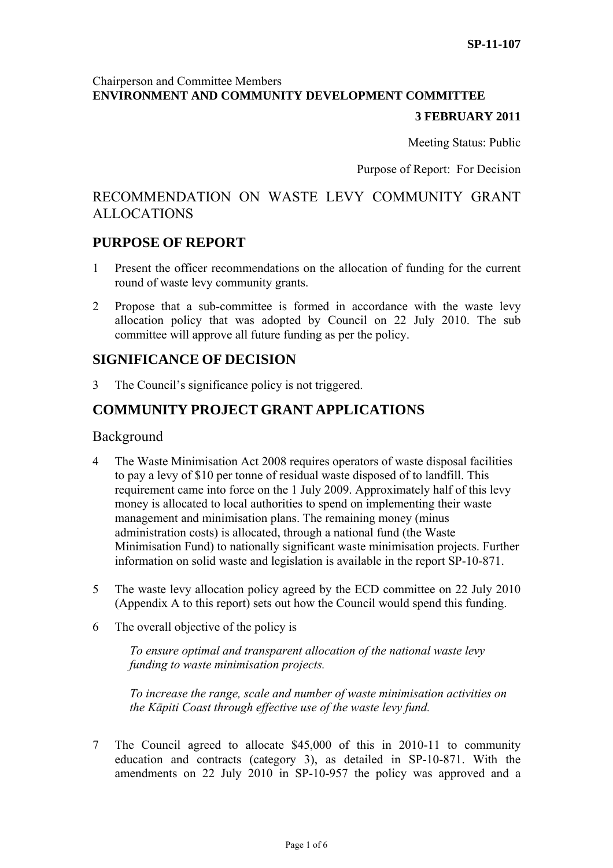## Chairperson and Committee Members **ENVIRONMENT AND COMMUNITY DEVELOPMENT COMMITTEE**

#### **3 FEBRUARY 2011**

Meeting Status: Public

Purpose of Report: For Decision

# RECOMMENDATION ON WASTE LEVY COMMUNITY GRANT ALLOCATIONS

## **PURPOSE OF REPORT**

- 1 Present the officer recommendations on the allocation of funding for the current round of waste levy community grants.
- 2 Propose that a sub-committee is formed in accordance with the waste levy allocation policy that was adopted by Council on 22 July 2010. The sub committee will approve all future funding as per the policy.

## **SIGNIFICANCE OF DECISION**

3 The Council's significance policy is not triggered.

# **COMMUNITY PROJECT GRANT APPLICATIONS**

#### Background

- 4 The Waste Minimisation Act 2008 requires operators of waste disposal facilities to pay a levy of \$10 per tonne of residual waste disposed of to landfill. This requirement came into force on the 1 July 2009. Approximately half of this levy money is allocated to local authorities to spend on implementing their waste management and minimisation plans. The remaining money (minus administration costs) is allocated, through a national fund (the Waste Minimisation Fund) to nationally significant waste minimisation projects. Further information on solid waste and legislation is available in the report SP-10-871.
- 5 The waste levy allocation policy agreed by the ECD committee on 22 July 2010 (Appendix A to this report) sets out how the Council would spend this funding.
- 6 The overall objective of the policy is

*To ensure optimal and transparent allocation of the national waste levy funding to waste minimisation projects.* 

*To increase the range, scale and number of waste minimisation activities on the Kāpiti Coast through effective use of the waste levy fund.*

7 The Council agreed to allocate \$45,000 of this in 2010-11 to community education and contracts (category 3), as detailed in SP-10-871. With the amendments on 22 July 2010 in SP-10-957 the policy was approved and a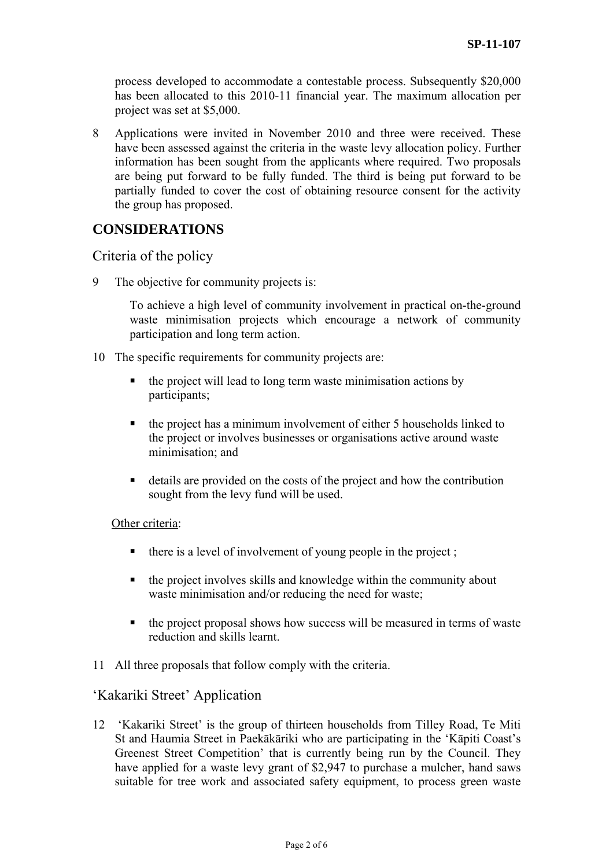process developed to accommodate a contestable process. Subsequently \$20,000 has been allocated to this 2010-11 financial year. The maximum allocation per project was set at \$5,000.

8 Applications were invited in November 2010 and three were received. These have been assessed against the criteria in the waste levy allocation policy. Further information has been sought from the applicants where required. Two proposals are being put forward to be fully funded. The third is being put forward to be partially funded to cover the cost of obtaining resource consent for the activity the group has proposed.

# **CONSIDERATIONS**

## Criteria of the policy

9 The objective for community projects is:

To achieve a high level of community involvement in practical on-the-ground waste minimisation projects which encourage a network of community participation and long term action.

- 10 The specific requirements for community projects are:
	- the project will lead to long term waste minimisation actions by participants;
	- the project has a minimum involvement of either 5 households linked to the project or involves businesses or organisations active around waste minimisation; and
	- details are provided on the costs of the project and how the contribution sought from the levy fund will be used.

#### Other criteria:

- $\blacksquare$  there is a level of involvement of young people in the project;
- $\blacksquare$  the project involves skills and knowledge within the community about waste minimisation and/or reducing the need for waste;
- $\blacksquare$  the project proposal shows how success will be measured in terms of waste reduction and skills learnt.
- 11 All three proposals that follow comply with the criteria.

## 'Kakariki Street' Application

12 'Kakariki Street' is the group of thirteen households from Tilley Road, Te Miti St and Haumia Street in Paekākāriki who are participating in the 'Kāpiti Coast's Greenest Street Competition' that is currently being run by the Council. They have applied for a waste levy grant of \$2,947 to purchase a mulcher, hand saws suitable for tree work and associated safety equipment, to process green waste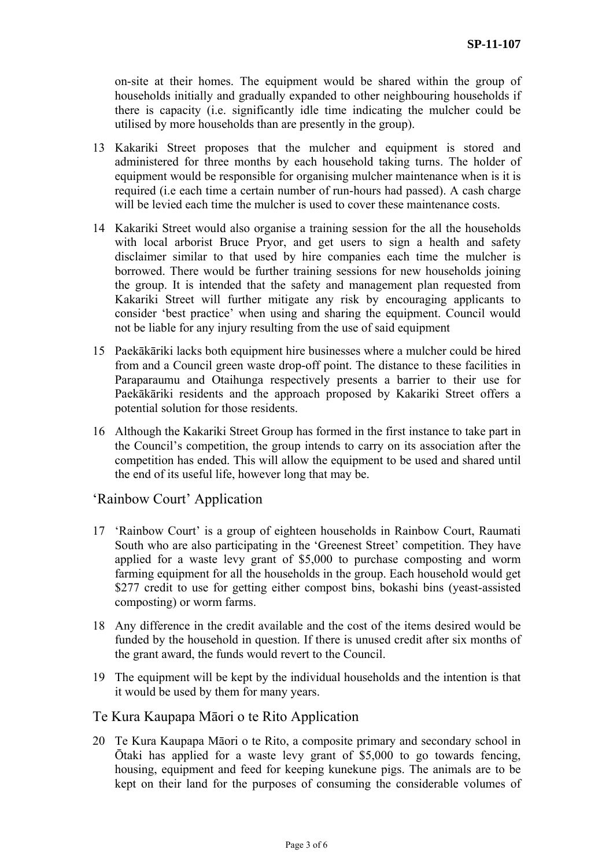on-site at their homes. The equipment would be shared within the group of households initially and gradually expanded to other neighbouring households if there is capacity (i.e. significantly idle time indicating the mulcher could be utilised by more households than are presently in the group).

- 13 Kakariki Street proposes that the mulcher and equipment is stored and administered for three months by each household taking turns. The holder of equipment would be responsible for organising mulcher maintenance when is it is required (i.e each time a certain number of run-hours had passed). A cash charge will be levied each time the mulcher is used to cover these maintenance costs.
- 14 Kakariki Street would also organise a training session for the all the households with local arborist Bruce Pryor, and get users to sign a health and safety disclaimer similar to that used by hire companies each time the mulcher is borrowed. There would be further training sessions for new households joining the group. It is intended that the safety and management plan requested from Kakariki Street will further mitigate any risk by encouraging applicants to consider 'best practice' when using and sharing the equipment. Council would not be liable for any injury resulting from the use of said equipment
- 15 Paekākāriki lacks both equipment hire businesses where a mulcher could be hired from and a Council green waste drop-off point. The distance to these facilities in Paraparaumu and Otaihunga respectively presents a barrier to their use for Paekākāriki residents and the approach proposed by Kakariki Street offers a potential solution for those residents.
- 16 Although the Kakariki Street Group has formed in the first instance to take part in the Council's competition, the group intends to carry on its association after the competition has ended. This will allow the equipment to be used and shared until the end of its useful life, however long that may be.

## 'Rainbow Court' Application

- 17 'Rainbow Court' is a group of eighteen households in Rainbow Court, Raumati South who are also participating in the 'Greenest Street' competition. They have applied for a waste levy grant of \$5,000 to purchase composting and worm farming equipment for all the households in the group. Each household would get \$277 credit to use for getting either compost bins, bokashi bins (yeast-assisted composting) or worm farms.
- 18 Any difference in the credit available and the cost of the items desired would be funded by the household in question. If there is unused credit after six months of the grant award, the funds would revert to the Council.
- 19 The equipment will be kept by the individual households and the intention is that it would be used by them for many years.

## Te Kura Kaupapa Māori o te Rito Application

20 Te Kura Kaupapa Māori o te Rito, a composite primary and secondary school in Ōtaki has applied for a waste levy grant of \$5,000 to go towards fencing, housing, equipment and feed for keeping kunekune pigs. The animals are to be kept on their land for the purposes of consuming the considerable volumes of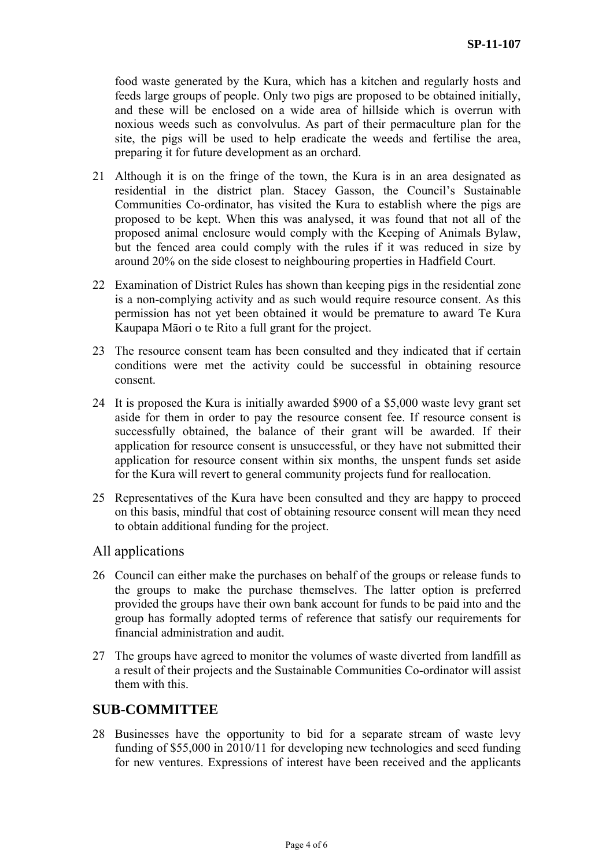food waste generated by the Kura, which has a kitchen and regularly hosts and feeds large groups of people. Only two pigs are proposed to be obtained initially, and these will be enclosed on a wide area of hillside which is overrun with noxious weeds such as convolvulus. As part of their permaculture plan for the site, the pigs will be used to help eradicate the weeds and fertilise the area, preparing it for future development as an orchard.

- 21 Although it is on the fringe of the town, the Kura is in an area designated as residential in the district plan. Stacey Gasson, the Council's Sustainable Communities Co-ordinator, has visited the Kura to establish where the pigs are proposed to be kept. When this was analysed, it was found that not all of the proposed animal enclosure would comply with the Keeping of Animals Bylaw, but the fenced area could comply with the rules if it was reduced in size by around 20% on the side closest to neighbouring properties in Hadfield Court.
- 22 Examination of District Rules has shown than keeping pigs in the residential zone is a non-complying activity and as such would require resource consent. As this permission has not yet been obtained it would be premature to award Te Kura Kaupapa Māori o te Rito a full grant for the project.
- 23 The resource consent team has been consulted and they indicated that if certain conditions were met the activity could be successful in obtaining resource consent.
- 24 It is proposed the Kura is initially awarded \$900 of a \$5,000 waste levy grant set aside for them in order to pay the resource consent fee. If resource consent is successfully obtained, the balance of their grant will be awarded. If their application for resource consent is unsuccessful, or they have not submitted their application for resource consent within six months, the unspent funds set aside for the Kura will revert to general community projects fund for reallocation.
- 25 Representatives of the Kura have been consulted and they are happy to proceed on this basis, mindful that cost of obtaining resource consent will mean they need to obtain additional funding for the project.

#### All applications

- 26 Council can either make the purchases on behalf of the groups or release funds to the groups to make the purchase themselves. The latter option is preferred provided the groups have their own bank account for funds to be paid into and the group has formally adopted terms of reference that satisfy our requirements for financial administration and audit.
- 27 The groups have agreed to monitor the volumes of waste diverted from landfill as a result of their projects and the Sustainable Communities Co-ordinator will assist them with this.

## **SUB-COMMITTEE**

28 Businesses have the opportunity to bid for a separate stream of waste levy funding of \$55,000 in 2010/11 for developing new technologies and seed funding for new ventures. Expressions of interest have been received and the applicants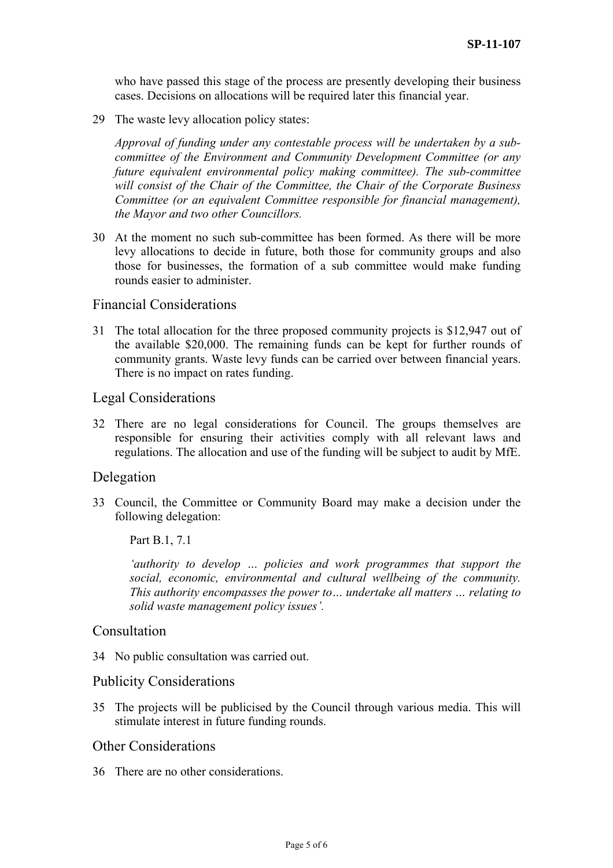who have passed this stage of the process are presently developing their business cases. Decisions on allocations will be required later this financial year.

29 The waste levy allocation policy states:

*Approval of funding under any contestable process will be undertaken by a subcommittee of the Environment and Community Development Committee (or any future equivalent environmental policy making committee). The sub-committee will consist of the Chair of the Committee, the Chair of the Corporate Business Committee (or an equivalent Committee responsible for financial management), the Mayor and two other Councillors.* 

30 At the moment no such sub-committee has been formed. As there will be more levy allocations to decide in future, both those for community groups and also those for businesses, the formation of a sub committee would make funding rounds easier to administer.

#### Financial Considerations

31 The total allocation for the three proposed community projects is \$12,947 out of the available \$20,000. The remaining funds can be kept for further rounds of community grants. Waste levy funds can be carried over between financial years. There is no impact on rates funding.

#### Legal Considerations

32 There are no legal considerations for Council. The groups themselves are responsible for ensuring their activities comply with all relevant laws and regulations. The allocation and use of the funding will be subject to audit by MfE.

#### Delegation

33 Council, the Committee or Community Board may make a decision under the following delegation:

Part B.1, 7.1

*'authority to develop … policies and work programmes that support the social, economic, environmental and cultural wellbeing of the community. This authority encompasses the power to… undertake all matters … relating to solid waste management policy issues'.* 

## Consultation

34 No public consultation was carried out.

#### Publicity Considerations

35 The projects will be publicised by the Council through various media. This will stimulate interest in future funding rounds.

## Other Considerations

36 There are no other considerations.